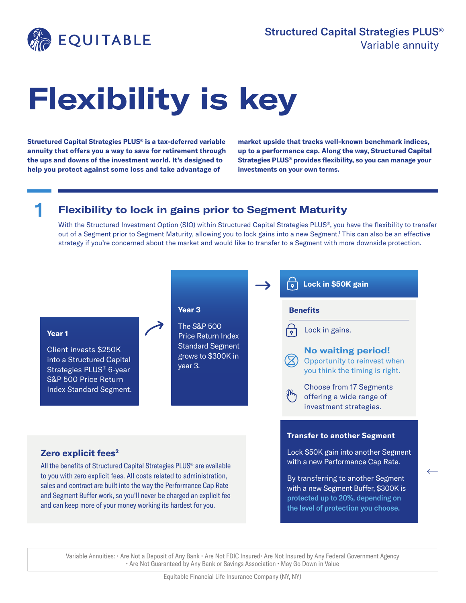

# **Flexibility is key**

**Structured Capital Strategies PLUS® is a tax-deferred variable annuity that offers you a way to save for retirement through the ups and downs of the investment world. It's designed to help you protect against some loss and take advantage of** 

**market upside that tracks well-known benchmark indices, up to a performance cap. Along the way, Structured Capital Strategies PLUS® provides flexibility, so you can manage your investments on your own terms.**

## 1 **Flexibility to lock in gains prior to Segment Maturity**

With the Structured Investment Option (SIO) within Structured Capital Strategies PLUS®, you have the flexibility to transfer out of a Segment prior to Segment Maturity, allowing you to lock gains into a new Segment.<sup>1</sup> This can also be an effective strategy if you're concerned about the market and would like to transfer to a Segment with more downside protection.



Variable Annuities: • Are Not a Deposit of Any Bank • Are Not FDIC Insured • Are Not Insured by Any Federal Government Agency • Are Not Guaranteed by Any Bank or Savings Association • May Go Down in Value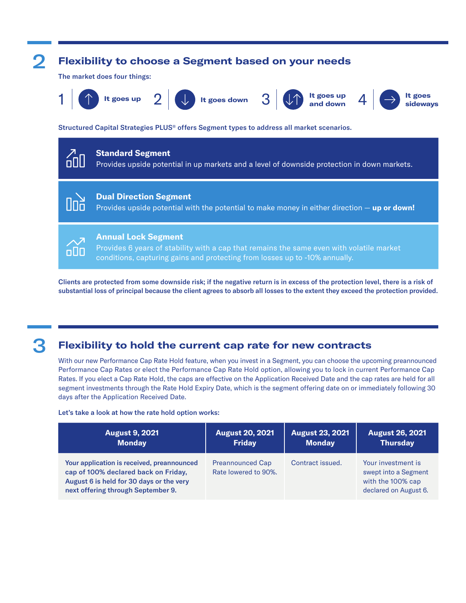

Clients are protected from some downside risk; if the negative return is in excess of the protection level, there is a risk of substantial loss of principal because the client agrees to absorb all losses to the extent they exceed the protection provided.

## 3 **Flexibility to hold the current cap rate for new contracts**

With our new Performance Cap Rate Hold feature, when you invest in a Segment, you can choose the upcoming preannounced Performance Cap Rates or elect the Performance Cap Rate Hold option, allowing you to lock in current Performance Cap Rates. If you elect a Cap Rate Hold, the caps are effective on the Application Received Date and the cap rates are held for all segment investments through the Rate Hold Expiry Date, which is the segment offering date on or immediately following 30 days after the Application Received Date.

Let's take a look at how the rate hold option works:

| <b>August 9, 2021</b>                                                                                                                                                | <b>August 20, 2021</b>                          | <b>August 23, 2021</b> | <b>August 26, 2021</b>                                                                   |
|----------------------------------------------------------------------------------------------------------------------------------------------------------------------|-------------------------------------------------|------------------------|------------------------------------------------------------------------------------------|
| <b>Monday</b>                                                                                                                                                        | <b>Friday</b>                                   | <b>Monday</b>          | <b>Thursday</b>                                                                          |
| Your application is received, preannounced<br>cap of 100% declared back on Friday,<br>August 6 is held for 30 days or the very<br>next offering through September 9. | <b>Preannounced Cap</b><br>Rate lowered to 90%. | Contract issued.       | Your investment is<br>swept into a Segment<br>with the 100% cap<br>declared on August 6. |